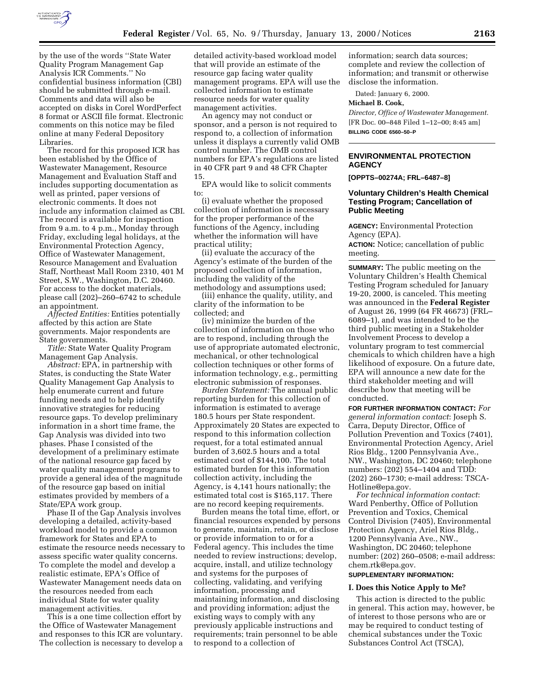

by the use of the words ''State Water Quality Program Management Gap Analysis ICR Comments.'' No confidential business information (CBI) should be submitted through e-mail. Comments and data will also be accepted on disks in Corel WordPerfect 8 format or ASCII file format. Electronic comments on this notice may be filed online at many Federal Depository Libraries.

The record for this proposed ICR has been established by the Office of Wastewater Management, Resource Management and Evaluation Staff and includes supporting documentation as well as printed, paper versions of electronic comments. It does not include any information claimed as CBI. The record is available for inspection from 9 a.m. to 4 p.m., Monday through Friday, excluding legal holidays, at the Environmental Protection Agency, Office of Wastewater Management, Resource Management and Evaluation Staff, Northeast Mall Room 2310, 401 M Street, S.W., Washington, D.C. 20460. For access to the docket materials, please call (202)–260–6742 to schedule an appointment.

*Affected Entities:* Entities potentially affected by this action are State governments. Major respondents are State governments.

*Title:* State Water Quality Program Management Gap Analysis.

*Abstract:* EPA, in partnership with States, is conducting the State Water Quality Management Gap Analysis to help enumerate current and future funding needs and to help identify innovative strategies for reducing resource gaps. To develop preliminary information in a short time frame, the Gap Analysis was divided into two phases. Phase I consisted of the development of a preliminary estimate of the national resource gap faced by water quality management programs to provide a general idea of the magnitude of the resource gap based on initial estimates provided by members of a State/EPA work group.

Phase II of the Gap Analysis involves developing a detailed, activity-based workload model to provide a common framework for States and EPA to estimate the resource needs necessary to assess specific water quality concerns. To complete the model and develop a realistic estimate, EPA's Office of Wastewater Management needs data on the resources needed from each individual State for water quality management activities.

This is a one time collection effort by the Office of Wastewater Management and responses to this ICR are voluntary. The collection is necessary to develop a

detailed activity-based workload model that will provide an estimate of the resource gap facing water quality management programs. EPA will use the collected information to estimate resource needs for water quality management activities.

An agency may not conduct or sponsor, and a person is not required to respond to, a collection of information unless it displays a currently valid OMB control number. The OMB control numbers for EPA's regulations are listed in 40 CFR part 9 and 48 CFR Chapter 15.

EPA would like to solicit comments to:

(i) evaluate whether the proposed collection of information is necessary for the proper performance of the functions of the Agency, including whether the information will have practical utility;

(ii) evaluate the accuracy of the Agency's estimate of the burden of the proposed collection of information, including the validity of the methodology and assumptions used;

(iii) enhance the quality, utility, and clarity of the information to be collected; and

(iv) minimize the burden of the collection of information on those who are to respond, including through the use of appropriate automated electronic, mechanical, or other technological collection techniques or other forms of information technology, e.g., permitting electronic submission of responses.

*Burden Statement:* The annual public reporting burden for this collection of information is estimated to average 180.5 hours per State respondent. Approximately 20 States are expected to respond to this information collection request, for a total estimated annual burden of 3,602.5 hours and a total estimated cost of \$144,100. The total estimated burden for this information collection activity, including the Agency, is 4,141 hours nationally; the estimated total cost is \$165,117. There are no record keeping requirements.

Burden means the total time, effort, or financial resources expended by persons to generate, maintain, retain, or disclose or provide information to or for a Federal agency. This includes the time needed to review instructions; develop, acquire, install, and utilize technology and systems for the purposes of collecting, validating, and verifying information, processing and maintaining information, and disclosing and providing information; adjust the existing ways to comply with any previously applicable instructions and requirements; train personnel to be able to respond to a collection of

information; search data sources; complete and review the collection of information; and transmit or otherwise disclose the information.

Dated: January 6, 2000.

#### **Michael B. Cook,**

*Director, Office of Wastewater Management.* [FR Doc. 00–848 Filed 1–12–00; 8:45 am] **BILLING CODE 6560–50–P**

### **ENVIRONMENTAL PROTECTION AGENCY**

**[OPPTS–00274A; FRL–6487–8]**

### **Voluntary Children's Health Chemical Testing Program; Cancellation of Public Meeting**

**AGENCY:** Environmental Protection Agency (EPA).

**ACTION:** Notice; cancellation of public meeting.

**SUMMARY:** The public meeting on the Voluntary Children's Health Chemical Testing Program scheduled for January 19-20, 2000, is canceled. This meeting was announced in the **Federal Register** of August 26, 1999 (64 FR 46673) (FRL– 6089–1), and was intended to be the third public meeting in a Stakeholder Involvement Process to develop a voluntary program to test commercial chemicals to which children have a high likelihood of exposure. On a future date, EPA will announce a new date for the third stakeholder meeting and will describe how that meeting will be conducted.

**FOR FURTHER INFORMATION CONTACT:** *For general information contact*: Joseph S. Carra, Deputy Director, Office of Pollution Prevention and Toxics (7401), Environmental Protection Agency, Ariel Rios Bldg., 1200 Pennsylvania Ave., NW., Washington, DC 20460; telephone numbers: (202) 554–1404 and TDD: (202) 260–1730; e-mail address: TSCA-Hotline@epa.gov.

*For technical information contact*: Ward Penberthy, Office of Pollution Prevention and Toxics, Chemical Control Division (7405), Environmental Protection Agency, Ariel Rios Bldg., 1200 Pennsylvania Ave., NW., Washington, DC 20460; telephone number: (202) 260–0508; e-mail address: chem.rtk@epa.gov.

### **SUPPLEMENTARY INFORMATION:**

### **I. Does this Notice Apply to Me?**

This action is directed to the public in general. This action may, however, be of interest to those persons who are or may be required to conduct testing of chemical substances under the Toxic Substances Control Act (TSCA),